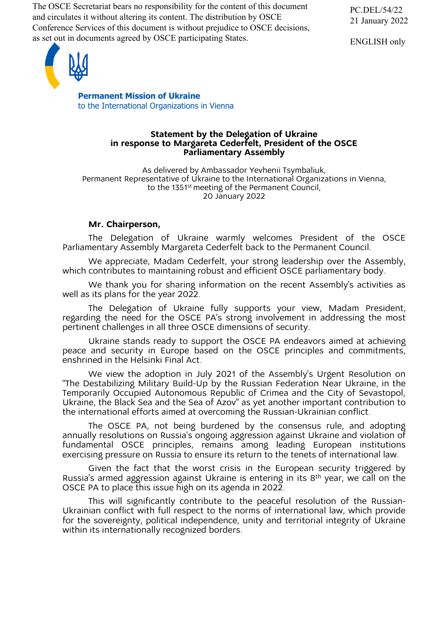The OSCE Secretariat bears no responsibility for the content of this document and circulates it without altering its content. The distribution by OSCE Conference Services of this document is without prejudice to OSCE decisions, as set out in documents agreed by OSCE participating States.

ENGLISH only



**Permanent Mission of Ukraine** to the International Organizations in Vienna

### **Statement by the Delegation of Ukraine in response to Margareta Cederfelt, President of the OSCE Parliamentary Assembly**

As delivered by Ambassador Yevhenii Tsymbaliuk, Permanent Representative of Ukraine to the International Organizations in Vienna, to the 1351<sup>st</sup> meeting of the Permanent Council, 20 January 2022

# **Mr. Chairperson,**

The Delegation of Ukraine warmly welcomes President of the OSCE Parliamentary Assembly Margareta Cederfelt back to the Permanent Council.

We appreciate, Madam Cederfelt, your strong leadership over the Assembly, which contributes to maintaining robust and efficient OSCE parliamentary body.

We thank you for sharing information on the recent Assembly's activities as well as its plans for the year 2022.

The Delegation of Ukraine fully supports your view, Madam President, regarding the need for the OSCE PA's strong involvement in addressing the most pertinent challenges in all three OSCE dimensions of security.

Ukraine stands ready to support the OSCE PA endeavors aimed at achieving peace and security in Europe based on the OSCE principles and commitments, enshrined in the Helsinki Final Act.

We view the adoption in July 2021 of the Assembly's Urgent Resolution on "The Destabilizing Military Build-Up by the Russian Federation Near Ukraine, in the Temporarily Occupied Autonomous Republic of Crimea and the City of Sevastopol, Ukraine, the Black Sea and the Sea of Azov" as yet another important contribution to the international efforts aimed at overcoming the Russian-Ukrainian conflict.

The OSCE PA, not being burdened by the consensus rule, and adopting annually resolutions on Russia's ongoing aggression against Ukraine and violation of fundamental OSCE principles, remains among leading European institutions exercising pressure on Russia to ensure its return to the tenets of international law.

Given the fact that the worst crisis in the European security triggered by Russia's armed aggression against Ukraine is entering in its 8th year, we call on the OSCE PA to place this issue high on its agenda in 2022.

This will significantly contribute to the peaceful resolution of the Russian-Ukrainian conflict with full respect to the norms of international law, which provide for the sovereignty, political independence, unity and territorial integrity of Ukraine within its internationally recognized borders.